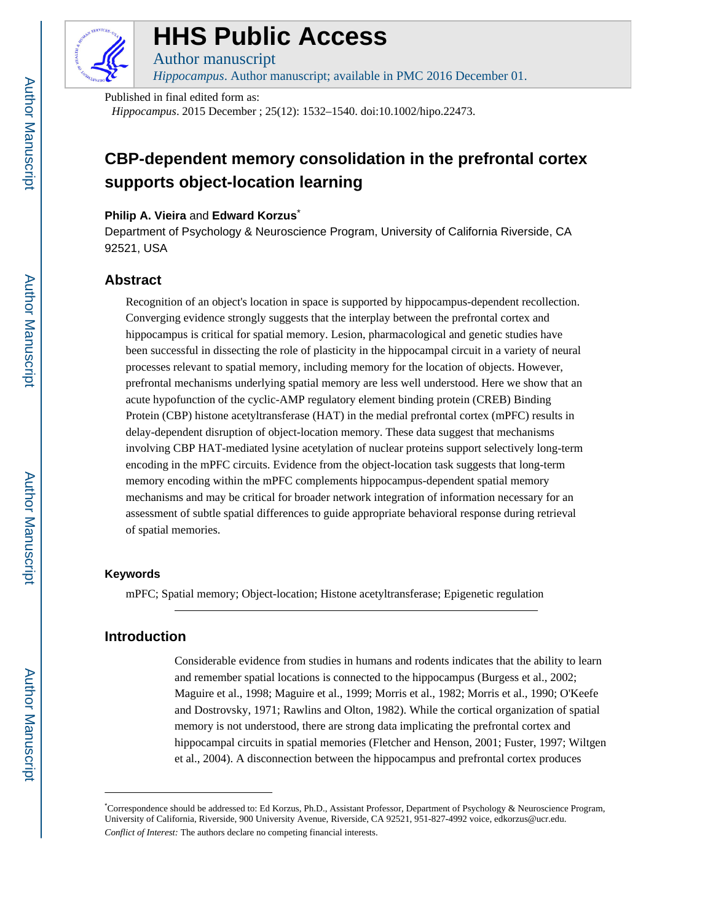

# **HHS Public Access**

Author manuscript *Hippocampus*. Author manuscript; available in PMC 2016 December 01.

Published in final edited form as:

*Hippocampus*. 2015 December ; 25(12): 1532–1540. doi:10.1002/hipo.22473.

# **CBP-dependent memory consolidation in the prefrontal cortex supports object-location learning**

#### **Philip A. Vieira** and **Edward Korzus**\*

Department of Psychology & Neuroscience Program, University of California Riverside, CA 92521, USA

# **Abstract**

Recognition of an object's location in space is supported by hippocampus-dependent recollection. Converging evidence strongly suggests that the interplay between the prefrontal cortex and hippocampus is critical for spatial memory. Lesion, pharmacological and genetic studies have been successful in dissecting the role of plasticity in the hippocampal circuit in a variety of neural processes relevant to spatial memory, including memory for the location of objects. However, prefrontal mechanisms underlying spatial memory are less well understood. Here we show that an acute hypofunction of the cyclic-AMP regulatory element binding protein (CREB) Binding Protein (CBP) histone acetyltransferase (HAT) in the medial prefrontal cortex (mPFC) results in delay-dependent disruption of object-location memory. These data suggest that mechanisms involving CBP HAT-mediated lysine acetylation of nuclear proteins support selectively long-term encoding in the mPFC circuits. Evidence from the object-location task suggests that long-term memory encoding within the mPFC complements hippocampus-dependent spatial memory mechanisms and may be critical for broader network integration of information necessary for an assessment of subtle spatial differences to guide appropriate behavioral response during retrieval of spatial memories.

#### **Keywords**

mPFC; Spatial memory; Object-location; Histone acetyltransferase; Epigenetic regulation

# **Introduction**

Considerable evidence from studies in humans and rodents indicates that the ability to learn and remember spatial locations is connected to the hippocampus (Burgess et al., 2002; Maguire et al., 1998; Maguire et al., 1999; Morris et al., 1982; Morris et al., 1990; O'Keefe and Dostrovsky, 1971; Rawlins and Olton, 1982). While the cortical organization of spatial memory is not understood, there are strong data implicating the prefrontal cortex and hippocampal circuits in spatial memories (Fletcher and Henson, 2001; Fuster, 1997; Wiltgen et al., 2004). A disconnection between the hippocampus and prefrontal cortex produces

<sup>\*</sup>Correspondence should be addressed to: Ed Korzus, Ph.D., Assistant Professor, Department of Psychology & Neuroscience Program, University of California, Riverside, 900 University Avenue, Riverside, CA 92521, 951-827-4992 voice, edkorzus@ucr.edu. *Conflict of Interest:* The authors declare no competing financial interests.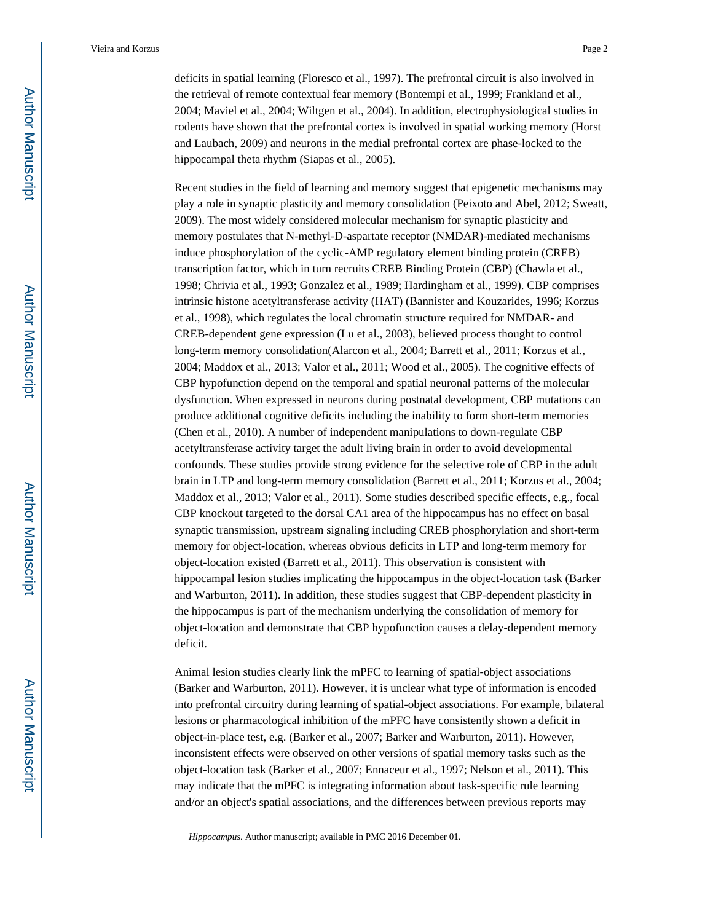deficits in spatial learning (Floresco et al., 1997). The prefrontal circuit is also involved in the retrieval of remote contextual fear memory (Bontempi et al., 1999; Frankland et al., 2004; Maviel et al., 2004; Wiltgen et al., 2004). In addition, electrophysiological studies in rodents have shown that the prefrontal cortex is involved in spatial working memory (Horst and Laubach, 2009) and neurons in the medial prefrontal cortex are phase-locked to the hippocampal theta rhythm (Siapas et al., 2005).

Recent studies in the field of learning and memory suggest that epigenetic mechanisms may play a role in synaptic plasticity and memory consolidation (Peixoto and Abel, 2012; Sweatt, 2009). The most widely considered molecular mechanism for synaptic plasticity and memory postulates that N-methyl-D-aspartate receptor (NMDAR)-mediated mechanisms induce phosphorylation of the cyclic-AMP regulatory element binding protein (CREB) transcription factor, which in turn recruits CREB Binding Protein (CBP) (Chawla et al., 1998; Chrivia et al., 1993; Gonzalez et al., 1989; Hardingham et al., 1999). CBP comprises intrinsic histone acetyltransferase activity (HAT) (Bannister and Kouzarides, 1996; Korzus et al., 1998), which regulates the local chromatin structure required for NMDAR- and CREB-dependent gene expression (Lu et al., 2003), believed process thought to control long-term memory consolidation(Alarcon et al., 2004; Barrett et al., 2011; Korzus et al., 2004; Maddox et al., 2013; Valor et al., 2011; Wood et al., 2005). The cognitive effects of CBP hypofunction depend on the temporal and spatial neuronal patterns of the molecular dysfunction. When expressed in neurons during postnatal development, CBP mutations can produce additional cognitive deficits including the inability to form short-term memories (Chen et al., 2010). A number of independent manipulations to down-regulate CBP acetyltransferase activity target the adult living brain in order to avoid developmental confounds. These studies provide strong evidence for the selective role of CBP in the adult brain in LTP and long-term memory consolidation (Barrett et al., 2011; Korzus et al., 2004; Maddox et al., 2013; Valor et al., 2011). Some studies described specific effects, e.g., focal CBP knockout targeted to the dorsal CA1 area of the hippocampus has no effect on basal synaptic transmission, upstream signaling including CREB phosphorylation and short-term memory for object-location, whereas obvious deficits in LTP and long-term memory for object-location existed (Barrett et al., 2011). This observation is consistent with hippocampal lesion studies implicating the hippocampus in the object-location task (Barker and Warburton, 2011). In addition, these studies suggest that CBP-dependent plasticity in the hippocampus is part of the mechanism underlying the consolidation of memory for object-location and demonstrate that CBP hypofunction causes a delay-dependent memory deficit.

Animal lesion studies clearly link the mPFC to learning of spatial-object associations (Barker and Warburton, 2011). However, it is unclear what type of information is encoded into prefrontal circuitry during learning of spatial-object associations. For example, bilateral lesions or pharmacological inhibition of the mPFC have consistently shown a deficit in object-in-place test, e.g. (Barker et al., 2007; Barker and Warburton, 2011). However, inconsistent effects were observed on other versions of spatial memory tasks such as the object-location task (Barker et al., 2007; Ennaceur et al., 1997; Nelson et al., 2011). This may indicate that the mPFC is integrating information about task-specific rule learning and/or an object's spatial associations, and the differences between previous reports may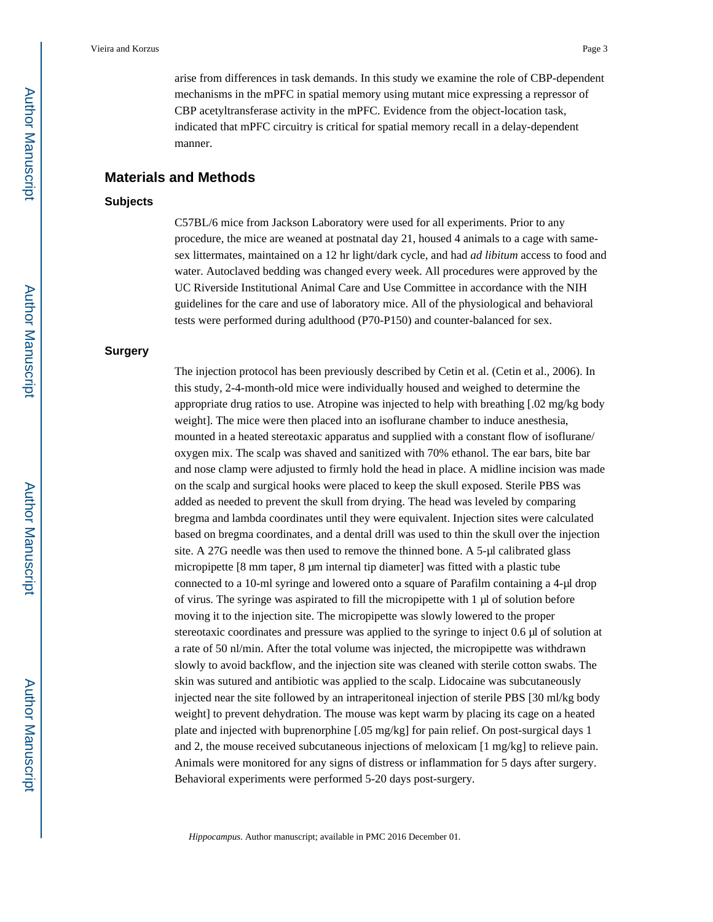arise from differences in task demands. In this study we examine the role of CBP-dependent mechanisms in the mPFC in spatial memory using mutant mice expressing a repressor of CBP acetyltransferase activity in the mPFC. Evidence from the object-location task, indicated that mPFC circuitry is critical for spatial memory recall in a delay-dependent manner.

#### **Materials and Methods**

#### **Subjects**

C57BL/6 mice from Jackson Laboratory were used for all experiments. Prior to any procedure, the mice are weaned at postnatal day 21, housed 4 animals to a cage with samesex littermates, maintained on a 12 hr light/dark cycle, and had *ad libitum* access to food and water. Autoclaved bedding was changed every week. All procedures were approved by the UC Riverside Institutional Animal Care and Use Committee in accordance with the NIH guidelines for the care and use of laboratory mice. All of the physiological and behavioral tests were performed during adulthood (P70-P150) and counter-balanced for sex.

#### **Surgery**

The injection protocol has been previously described by Cetin et al. (Cetin et al., 2006). In this study, 2-4-month-old mice were individually housed and weighed to determine the appropriate drug ratios to use. Atropine was injected to help with breathing [.02 mg/kg body weight]. The mice were then placed into an isoflurane chamber to induce anesthesia, mounted in a heated stereotaxic apparatus and supplied with a constant flow of isoflurane/ oxygen mix. The scalp was shaved and sanitized with 70% ethanol. The ear bars, bite bar and nose clamp were adjusted to firmly hold the head in place. A midline incision was made on the scalp and surgical hooks were placed to keep the skull exposed. Sterile PBS was added as needed to prevent the skull from drying. The head was leveled by comparing bregma and lambda coordinates until they were equivalent. Injection sites were calculated based on bregma coordinates, and a dental drill was used to thin the skull over the injection site. A 27G needle was then used to remove the thinned bone. A 5-μl calibrated glass micropipette [8 mm taper, 8 μm internal tip diameter] was fitted with a plastic tube connected to a 10-ml syringe and lowered onto a square of Parafilm containing a 4-μl drop of virus. The syringe was aspirated to fill the micropipette with 1 μl of solution before moving it to the injection site. The micropipette was slowly lowered to the proper stereotaxic coordinates and pressure was applied to the syringe to inject 0.6 μl of solution at a rate of 50 nl/min. After the total volume was injected, the micropipette was withdrawn slowly to avoid backflow, and the injection site was cleaned with sterile cotton swabs. The skin was sutured and antibiotic was applied to the scalp. Lidocaine was subcutaneously injected near the site followed by an intraperitoneal injection of sterile PBS [30 ml/kg body weight] to prevent dehydration. The mouse was kept warm by placing its cage on a heated plate and injected with buprenorphine [.05 mg/kg] for pain relief. On post-surgical days 1 and 2, the mouse received subcutaneous injections of meloxicam [1 mg/kg] to relieve pain. Animals were monitored for any signs of distress or inflammation for 5 days after surgery. Behavioral experiments were performed 5-20 days post-surgery.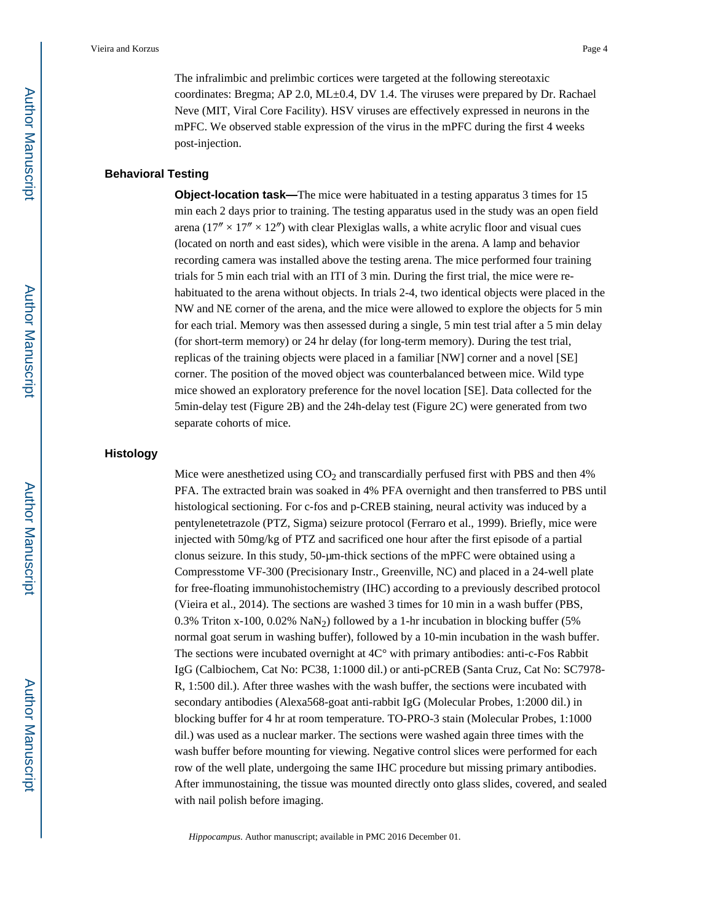The infralimbic and prelimbic cortices were targeted at the following stereotaxic coordinates: Bregma; AP 2.0, ML±0.4, DV 1.4. The viruses were prepared by Dr. Rachael Neve (MIT, Viral Core Facility). HSV viruses are effectively expressed in neurons in the mPFC. We observed stable expression of the virus in the mPFC during the first 4 weeks post-injection.

#### **Behavioral Testing**

**Object-location task—The mice were habituated in a testing apparatus 3 times for 15** min each 2 days prior to training. The testing apparatus used in the study was an open field arena  $(17'' \times 17'' \times 12'')$  with clear Plexiglas walls, a white acrylic floor and visual cues (located on north and east sides), which were visible in the arena. A lamp and behavior recording camera was installed above the testing arena. The mice performed four training trials for 5 min each trial with an ITI of 3 min. During the first trial, the mice were rehabituated to the arena without objects. In trials 2-4, two identical objects were placed in the NW and NE corner of the arena, and the mice were allowed to explore the objects for 5 min for each trial. Memory was then assessed during a single, 5 min test trial after a 5 min delay (for short-term memory) or 24 hr delay (for long-term memory). During the test trial, replicas of the training objects were placed in a familiar [NW] corner and a novel [SE] corner. The position of the moved object was counterbalanced between mice. Wild type mice showed an exploratory preference for the novel location [SE]. Data collected for the 5min-delay test (Figure 2B) and the 24h-delay test (Figure 2C) were generated from two separate cohorts of mice.

#### **Histology**

Mice were anesthetized using  $CO<sub>2</sub>$  and transcardially perfused first with PBS and then 4% PFA. The extracted brain was soaked in 4% PFA overnight and then transferred to PBS until histological sectioning. For c-fos and p-CREB staining, neural activity was induced by a pentylenetetrazole (PTZ, Sigma) seizure protocol (Ferraro et al., 1999). Briefly, mice were injected with 50mg/kg of PTZ and sacrificed one hour after the first episode of a partial clonus seizure. In this study, 50-μm-thick sections of the mPFC were obtained using a Compresstome VF-300 (Precisionary Instr., Greenville, NC) and placed in a 24-well plate for free-floating immunohistochemistry (IHC) according to a previously described protocol (Vieira et al., 2014). The sections are washed 3 times for 10 min in a wash buffer (PBS, 0.3% Triton x-100, 0.02%  $\text{NaN}_2$ ) followed by a 1-hr incubation in blocking buffer (5% normal goat serum in washing buffer), followed by a 10-min incubation in the wash buffer. The sections were incubated overnight at 4C° with primary antibodies: anti-c-Fos Rabbit IgG (Calbiochem, Cat No: PC38, 1:1000 dil.) or anti-pCREB (Santa Cruz, Cat No: SC7978- R, 1:500 dil.). After three washes with the wash buffer, the sections were incubated with secondary antibodies (Alexa568-goat anti-rabbit IgG (Molecular Probes, 1:2000 dil.) in blocking buffer for 4 hr at room temperature. TO-PRO-3 stain (Molecular Probes, 1:1000 dil.) was used as a nuclear marker. The sections were washed again three times with the wash buffer before mounting for viewing. Negative control slices were performed for each row of the well plate, undergoing the same IHC procedure but missing primary antibodies. After immunostaining, the tissue was mounted directly onto glass slides, covered, and sealed with nail polish before imaging.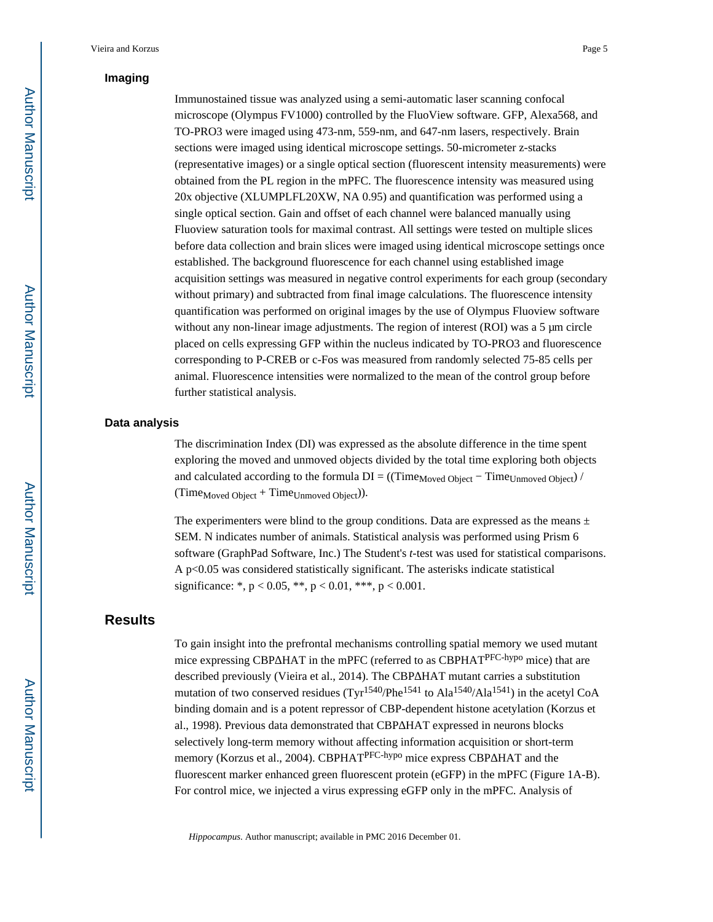# **Imaging**

Immunostained tissue was analyzed using a semi-automatic laser scanning confocal microscope (Olympus FV1000) controlled by the FluoView software. GFP, Alexa568, and TO-PRO3 were imaged using 473-nm, 559-nm, and 647-nm lasers, respectively. Brain sections were imaged using identical microscope settings. 50-micrometer z-stacks (representative images) or a single optical section (fluorescent intensity measurements) were obtained from the PL region in the mPFC. The fluorescence intensity was measured using 20x objective (XLUMPLFL20XW, NA 0.95) and quantification was performed using a single optical section. Gain and offset of each channel were balanced manually using Fluoview saturation tools for maximal contrast. All settings were tested on multiple slices before data collection and brain slices were imaged using identical microscope settings once established. The background fluorescence for each channel using established image acquisition settings was measured in negative control experiments for each group (secondary without primary) and subtracted from final image calculations. The fluorescence intensity quantification was performed on original images by the use of Olympus Fluoview software without any non-linear image adjustments. The region of interest (ROI) was a 5 μm circle placed on cells expressing GFP within the nucleus indicated by TO-PRO3 and fluorescence corresponding to P-CREB or c-Fos was measured from randomly selected 75-85 cells per animal. Fluorescence intensities were normalized to the mean of the control group before further statistical analysis.

#### **Data analysis**

The discrimination Index (DI) was expressed as the absolute difference in the time spent exploring the moved and unmoved objects divided by the total time exploring both objects and calculated according to the formula  $DI = ((Time_{Moved} Object - Time_{Unmoved} Object))$  $(Time_{Moved}$  Object +  $Time_{Un moved}$  Object)).

The experimenters were blind to the group conditions. Data are expressed as the means  $\pm$ SEM. N indicates number of animals. Statistical analysis was performed using Prism 6 software (GraphPad Software, Inc.) The Student's *t*-test was used for statistical comparisons. A p<0.05 was considered statistically significant. The asterisks indicate statistical significance: \*,  $p < 0.05$ , \*\*,  $p < 0.01$ , \*\*\*,  $p < 0.001$ .

# **Results**

To gain insight into the prefrontal mechanisms controlling spatial memory we used mutant mice expressing CBP HAT in the mPFC (referred to as CBPHAT<sup>PFC-hypo</sup> mice) that are described previously (Vieira et al., 2014). The CBP HAT mutant carries a substitution mutation of two conserved residues  $(Tyr^{1540}/Phe^{1541}$  to Ala<sup>1540</sup>/Ala<sup>1541</sup>) in the acetyl CoA binding domain and is a potent repressor of CBP-dependent histone acetylation (Korzus et al., 1998). Previous data demonstrated that CBP HAT expressed in neurons blocks selectively long-term memory without affecting information acquisition or short-term memory (Korzus et al., 2004). CBPHAT<sup>PFC-hypo</sup> mice express CBP HAT and the fluorescent marker enhanced green fluorescent protein (eGFP) in the mPFC (Figure 1A-B). For control mice, we injected a virus expressing eGFP only in the mPFC. Analysis of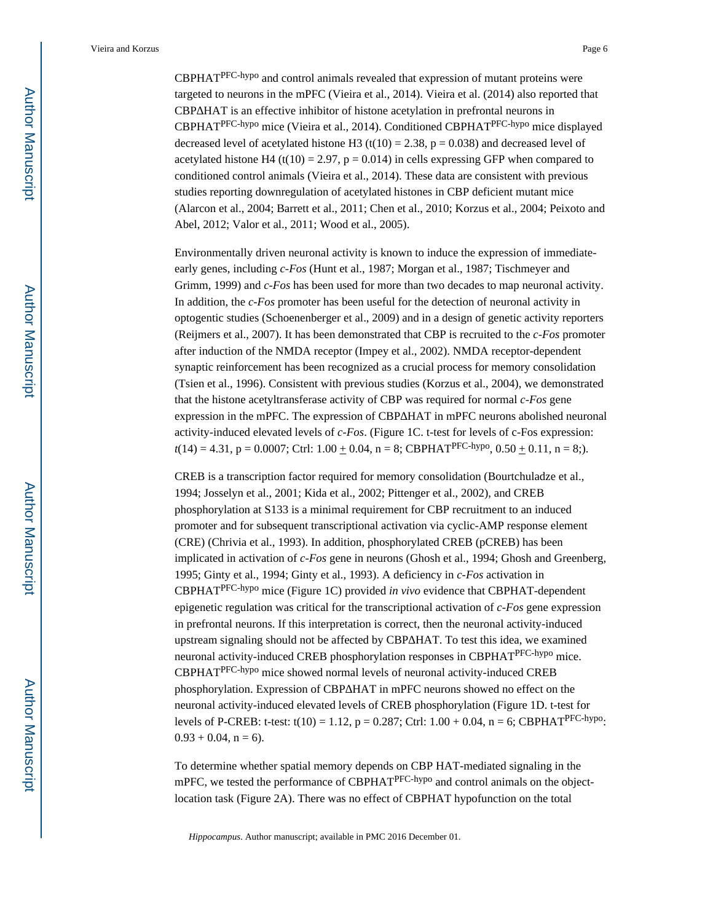CBPHATPFC-hypo and control animals revealed that expression of mutant proteins were targeted to neurons in the mPFC (Vieira et al., 2014). Vieira et al. (2014) also reported that CBP HAT is an effective inhibitor of histone acetylation in prefrontal neurons in CBPHATPFC-hypo mice (Vieira et al., 2014). Conditioned CBPHATPFC-hypo mice displayed decreased level of acetylated histone H3 (t(10) = 2.38, p = 0.038) and decreased level of acetylated histone H4 (t(10) = 2.97,  $p = 0.014$ ) in cells expressing GFP when compared to conditioned control animals (Vieira et al., 2014). These data are consistent with previous studies reporting downregulation of acetylated histones in CBP deficient mutant mice (Alarcon et al., 2004; Barrett et al., 2011; Chen et al., 2010; Korzus et al., 2004; Peixoto and Abel, 2012; Valor et al., 2011; Wood et al., 2005).

Environmentally driven neuronal activity is known to induce the expression of immediateearly genes, including *c-Fos* (Hunt et al., 1987; Morgan et al., 1987; Tischmeyer and Grimm, 1999) and *c-Fos* has been used for more than two decades to map neuronal activity. In addition, the *c-Fos* promoter has been useful for the detection of neuronal activity in optogentic studies (Schoenenberger et al., 2009) and in a design of genetic activity reporters (Reijmers et al., 2007). It has been demonstrated that CBP is recruited to the *c-Fos* promoter after induction of the NMDA receptor (Impey et al., 2002). NMDA receptor-dependent synaptic reinforcement has been recognized as a crucial process for memory consolidation (Tsien et al., 1996). Consistent with previous studies (Korzus et al., 2004), we demonstrated that the histone acetyltransferase activity of CBP was required for normal *c-Fos* gene expression in the mPFC. The expression of CBP HAT in mPFC neurons abolished neuronal activity-induced elevated levels of *c-Fos*. (Figure 1C. t-test for levels of c-Fos expression:  $t(14) = 4.31$ ,  $p = 0.0007$ ; Ctrl:  $1.00 \pm 0.04$ ,  $n = 8$ ; CBPHAT<sup>PFC-hypo</sup>,  $0.50 \pm 0.11$ ,  $n = 8$ ;).

CREB is a transcription factor required for memory consolidation (Bourtchuladze et al., 1994; Josselyn et al., 2001; Kida et al., 2002; Pittenger et al., 2002), and CREB phosphorylation at S133 is a minimal requirement for CBP recruitment to an induced promoter and for subsequent transcriptional activation via cyclic-AMP response element (CRE) (Chrivia et al., 1993). In addition, phosphorylated CREB (pCREB) has been implicated in activation of *c-Fos* gene in neurons (Ghosh et al., 1994; Ghosh and Greenberg, 1995; Ginty et al., 1994; Ginty et al., 1993). A deficiency in *c-Fos* activation in CBPHATPFC-hypo mice (Figure 1C) provided *in vivo* evidence that CBPHAT-dependent epigenetic regulation was critical for the transcriptional activation of *c-Fos* gene expression in prefrontal neurons. If this interpretation is correct, then the neuronal activity-induced upstream signaling should not be affected by CBP HAT. To test this idea, we examined neuronal activity-induced CREB phosphorylation responses in CBPHATPFC-hypo mice. CBPHATPFC-hypo mice showed normal levels of neuronal activity-induced CREB phosphorylation. Expression of CBP HAT in mPFC neurons showed no effect on the neuronal activity-induced elevated levels of CREB phosphorylation (Figure 1D. t-test for levels of P-CREB: t-test:  $t(10) = 1.12$ ,  $p = 0.287$ ; Ctrl:  $1.00 + 0.04$ ,  $n = 6$ ; CBPHAT<sup>PFC-hypo</sup>:  $0.93 + 0.04$ ,  $n = 6$ ).

To determine whether spatial memory depends on CBP HAT-mediated signaling in the mPFC, we tested the performance of CBPHATPFC-hypo and control animals on the objectlocation task (Figure 2A). There was no effect of CBPHAT hypofunction on the total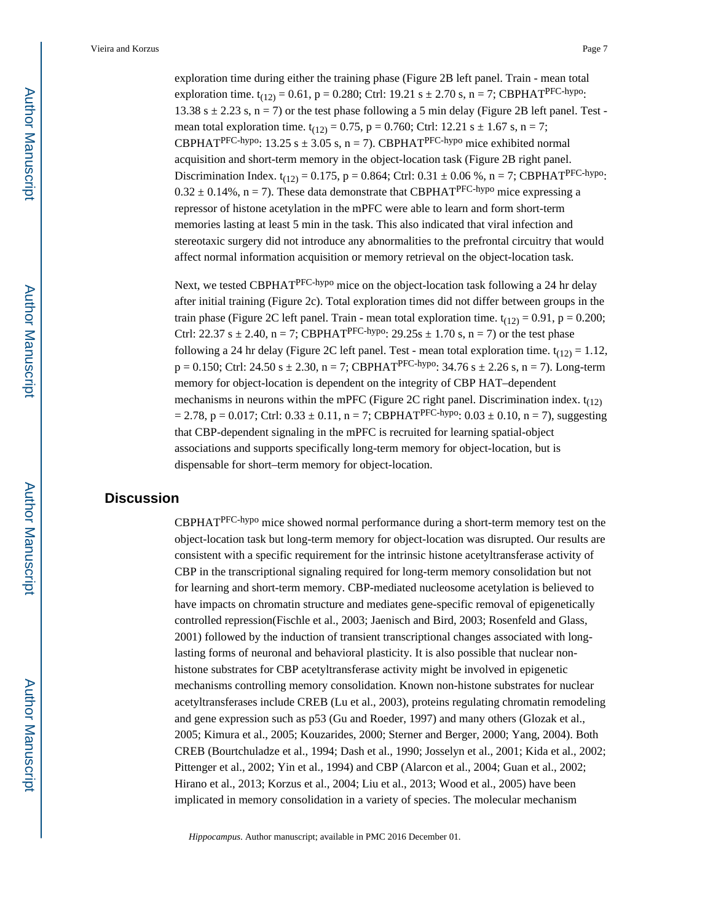exploration time during either the training phase (Figure 2B left panel. Train - mean total exploration time.  $t_{(12)} = 0.61$ , p = 0.280; Ctrl: 19.21 s  $\pm$  2.70 s, n = 7; CBPHAT<sup>PFC-hypo</sup>: 13.38 s  $\pm$  2.23 s, n = 7) or the test phase following a 5 min delay (Figure 2B left panel. Test mean total exploration time.  $t_{(12)} = 0.75$ ,  $p = 0.760$ ; Ctrl: 12.21 s  $\pm$  1.67 s, n = 7; CBPHAT<sup>PFC-hypo</sup>: 13.25 s  $\pm$  3.05 s, n = 7). CBPHAT<sup>PFC-hypo</sup> mice exhibited normal acquisition and short-term memory in the object-location task (Figure 2B right panel. Discrimination Index.  $t_{(12)} = 0.175$ , p = 0.864; Ctrl: 0.31  $\pm$  0.06 %, n = 7; CBPHAT<sup>PFC-hypo</sup>:  $0.32 \pm 0.14$ %, n = 7). These data demonstrate that CBPHAT<sup>PFC-hypo</sup> mice expressing a repressor of histone acetylation in the mPFC were able to learn and form short-term memories lasting at least 5 min in the task. This also indicated that viral infection and stereotaxic surgery did not introduce any abnormalities to the prefrontal circuitry that would affect normal information acquisition or memory retrieval on the object-location task.

Next, we tested CBPHAT<sup>PFC-hypo</sup> mice on the object-location task following a 24 hr delay after initial training (Figure 2c). Total exploration times did not differ between groups in the train phase (Figure 2C left panel. Train - mean total exploration time.  $t_{(12)} = 0.91$ , p = 0.200; Ctrl: 22.37 s  $\pm$  2.40, n = 7; CBPHAT<sup>PFC-hypo</sup>: 29.25s  $\pm$  1.70 s, n = 7) or the test phase following a 24 hr delay (Figure 2C left panel. Test - mean total exploration time.  $t_{(12)} = 1.12$ ,  $p = 0.150$ ; Ctrl: 24.50 s  $\pm$  2.30, n = 7; CBPHAT<sup>PFC-hypo</sup>: 34.76 s  $\pm$  2.26 s, n = 7). Long-term memory for object-location is dependent on the integrity of CBP HAT–dependent mechanisms in neurons within the mPFC (Figure 2C right panel. Discrimination index.  $t_{(12)}$ )  $= 2.78$ , p = 0.017; Ctrl: 0.33  $\pm$  0.11, n = 7; CBPHAT<sup>PFC-hypo</sup>: 0.03  $\pm$  0.10, n = 7), suggesting that CBP-dependent signaling in the mPFC is recruited for learning spatial-object associations and supports specifically long-term memory for object-location, but is dispensable for short–term memory for object-location.

# **Discussion**

CBPHATPFC-hypo mice showed normal performance during a short-term memory test on the object-location task but long-term memory for object-location was disrupted. Our results are consistent with a specific requirement for the intrinsic histone acetyltransferase activity of CBP in the transcriptional signaling required for long-term memory consolidation but not for learning and short-term memory. CBP-mediated nucleosome acetylation is believed to have impacts on chromatin structure and mediates gene-specific removal of epigenetically controlled repression(Fischle et al., 2003; Jaenisch and Bird, 2003; Rosenfeld and Glass, 2001) followed by the induction of transient transcriptional changes associated with longlasting forms of neuronal and behavioral plasticity. It is also possible that nuclear nonhistone substrates for CBP acetyltransferase activity might be involved in epigenetic mechanisms controlling memory consolidation. Known non-histone substrates for nuclear acetyltransferases include CREB (Lu et al., 2003), proteins regulating chromatin remodeling and gene expression such as p53 (Gu and Roeder, 1997) and many others (Glozak et al., 2005; Kimura et al., 2005; Kouzarides, 2000; Sterner and Berger, 2000; Yang, 2004). Both CREB (Bourtchuladze et al., 1994; Dash et al., 1990; Josselyn et al., 2001; Kida et al., 2002; Pittenger et al., 2002; Yin et al., 1994) and CBP (Alarcon et al., 2004; Guan et al., 2002; Hirano et al., 2013; Korzus et al., 2004; Liu et al., 2013; Wood et al., 2005) have been implicated in memory consolidation in a variety of species. The molecular mechanism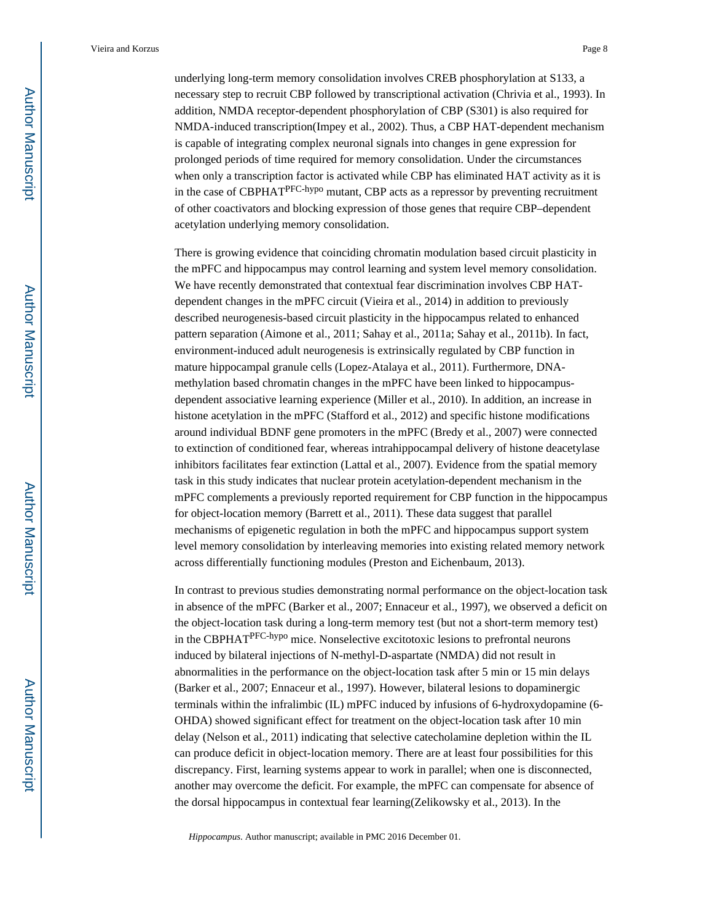underlying long-term memory consolidation involves CREB phosphorylation at S133, a necessary step to recruit CBP followed by transcriptional activation (Chrivia et al., 1993). In addition, NMDA receptor-dependent phosphorylation of CBP (S301) is also required for NMDA-induced transcription(Impey et al., 2002). Thus, a CBP HAT-dependent mechanism is capable of integrating complex neuronal signals into changes in gene expression for prolonged periods of time required for memory consolidation. Under the circumstances when only a transcription factor is activated while CBP has eliminated HAT activity as it is in the case of CBPHATPFC-hypo mutant, CBP acts as a repressor by preventing recruitment of other coactivators and blocking expression of those genes that require CBP–dependent acetylation underlying memory consolidation.

There is growing evidence that coinciding chromatin modulation based circuit plasticity in the mPFC and hippocampus may control learning and system level memory consolidation. We have recently demonstrated that contextual fear discrimination involves CBP HATdependent changes in the mPFC circuit (Vieira et al., 2014) in addition to previously described neurogenesis-based circuit plasticity in the hippocampus related to enhanced pattern separation (Aimone et al., 2011; Sahay et al., 2011a; Sahay et al., 2011b). In fact, environment-induced adult neurogenesis is extrinsically regulated by CBP function in mature hippocampal granule cells (Lopez-Atalaya et al., 2011). Furthermore, DNAmethylation based chromatin changes in the mPFC have been linked to hippocampusdependent associative learning experience (Miller et al., 2010). In addition, an increase in histone acetylation in the mPFC (Stafford et al., 2012) and specific histone modifications around individual BDNF gene promoters in the mPFC (Bredy et al., 2007) were connected to extinction of conditioned fear, whereas intrahippocampal delivery of histone deacetylase inhibitors facilitates fear extinction (Lattal et al., 2007). Evidence from the spatial memory task in this study indicates that nuclear protein acetylation-dependent mechanism in the mPFC complements a previously reported requirement for CBP function in the hippocampus for object-location memory (Barrett et al., 2011). These data suggest that parallel mechanisms of epigenetic regulation in both the mPFC and hippocampus support system level memory consolidation by interleaving memories into existing related memory network across differentially functioning modules (Preston and Eichenbaum, 2013).

In contrast to previous studies demonstrating normal performance on the object-location task in absence of the mPFC (Barker et al., 2007; Ennaceur et al., 1997), we observed a deficit on the object-location task during a long-term memory test (but not a short-term memory test) in the CBPHATPFC-hypo mice. Nonselective excitotoxic lesions to prefrontal neurons induced by bilateral injections of N-methyl-D-aspartate (NMDA) did not result in abnormalities in the performance on the object-location task after 5 min or 15 min delays (Barker et al., 2007; Ennaceur et al., 1997). However, bilateral lesions to dopaminergic terminals within the infralimbic (IL) mPFC induced by infusions of 6-hydroxydopamine (6- OHDA) showed significant effect for treatment on the object-location task after 10 min delay (Nelson et al., 2011) indicating that selective catecholamine depletion within the IL can produce deficit in object-location memory. There are at least four possibilities for this discrepancy. First, learning systems appear to work in parallel; when one is disconnected, another may overcome the deficit. For example, the mPFC can compensate for absence of the dorsal hippocampus in contextual fear learning(Zelikowsky et al., 2013). In the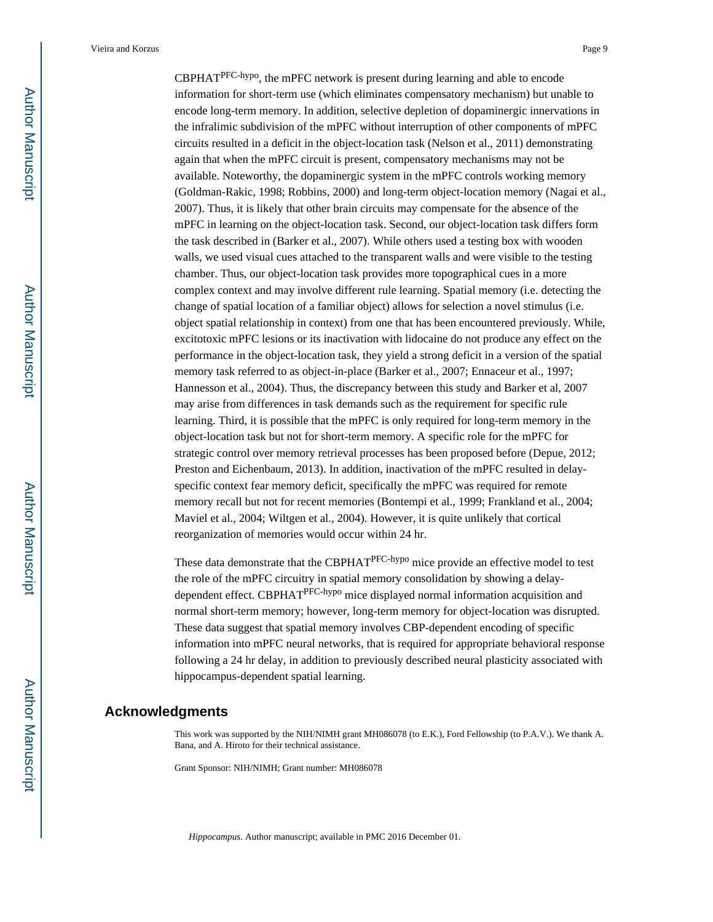CBPHATPFC-hypo, the mPFC network is present during learning and able to encode information for short-term use (which eliminates compensatory mechanism) but unable to encode long-term memory. In addition, selective depletion of dopaminergic innervations in the infralimic subdivision of the mPFC without interruption of other components of mPFC circuits resulted in a deficit in the object-location task (Nelson et al., 2011) demonstrating again that when the mPFC circuit is present, compensatory mechanisms may not be available. Noteworthy, the dopaminergic system in the mPFC controls working memory (Goldman-Rakic, 1998; Robbins, 2000) and long-term object-location memory (Nagai et al., 2007). Thus, it is likely that other brain circuits may compensate for the absence of the mPFC in learning on the object-location task. Second, our object-location task differs form the task described in (Barker et al., 2007). While others used a testing box with wooden walls, we used visual cues attached to the transparent walls and were visible to the testing chamber. Thus, our object-location task provides more topographical cues in a more complex context and may involve different rule learning. Spatial memory (i.e. detecting the change of spatial location of a familiar object) allows for selection a novel stimulus (i.e. object spatial relationship in context) from one that has been encountered previously. While, excitotoxic mPFC lesions or its inactivation with lidocaine do not produce any effect on the performance in the object-location task, they yield a strong deficit in a version of the spatial memory task referred to as object-in-place (Barker et al., 2007; Ennaceur et al., 1997; Hannesson et al., 2004). Thus, the discrepancy between this study and Barker et al, 2007 may arise from differences in task demands such as the requirement for specific rule learning. Third, it is possible that the mPFC is only required for long-term memory in the object-location task but not for short-term memory. A specific role for the mPFC for strategic control over memory retrieval processes has been proposed before (Depue, 2012; Preston and Eichenbaum, 2013). In addition, inactivation of the mPFC resulted in delayspecific context fear memory deficit, specifically the mPFC was required for remote memory recall but not for recent memories (Bontempi et al., 1999; Frankland et al., 2004; Maviel et al., 2004; Wiltgen et al., 2004). However, it is quite unlikely that cortical reorganization of memories would occur within 24 hr.

These data demonstrate that the CBPHAT<sup>PFC-hypo</sup> mice provide an effective model to test the role of the mPFC circuitry in spatial memory consolidation by showing a delaydependent effect. CBPHATPFC-hypo mice displayed normal information acquisition and normal short-term memory; however, long-term memory for object-location was disrupted. These data suggest that spatial memory involves CBP-dependent encoding of specific information into mPFC neural networks, that is required for appropriate behavioral response following a 24 hr delay, in addition to previously described neural plasticity associated with hippocampus-dependent spatial learning.

#### **Acknowledgments**

This work was supported by the NIH/NIMH grant MH086078 (to E.K.), Ford Fellowship (to P.A.V.). We thank A. Bana, and A. Hiroto for their technical assistance.

Grant Sponsor: NIH/NIMH; Grant number: MH086078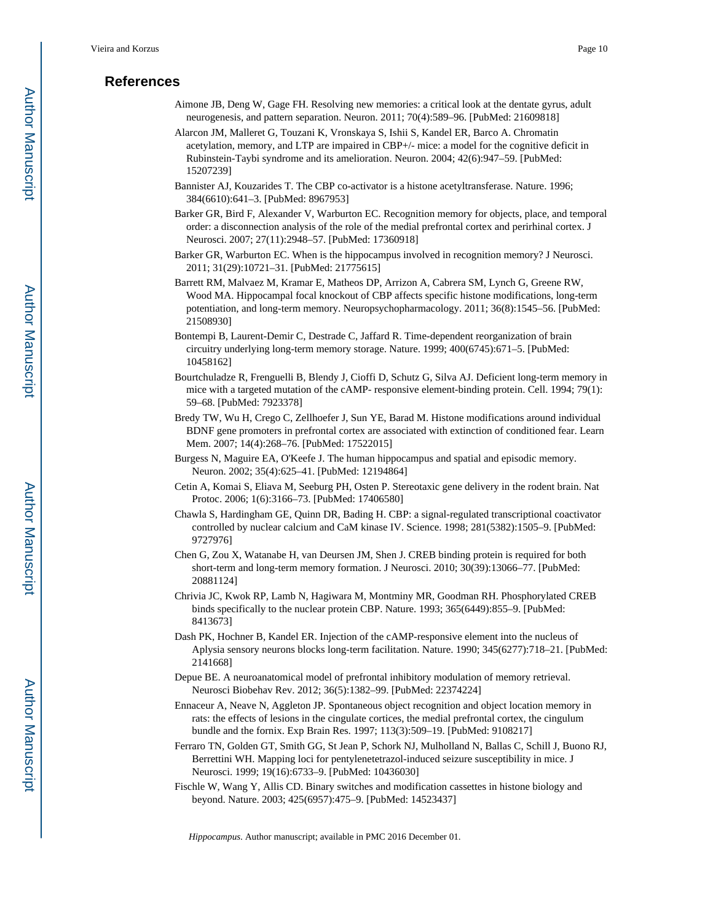### **References**

- Aimone JB, Deng W, Gage FH. Resolving new memories: a critical look at the dentate gyrus, adult neurogenesis, and pattern separation. Neuron. 2011; 70(4):589–96. [PubMed: 21609818]
- Alarcon JM, Malleret G, Touzani K, Vronskaya S, Ishii S, Kandel ER, Barco A. Chromatin acetylation, memory, and LTP are impaired in CBP+/- mice: a model for the cognitive deficit in Rubinstein-Taybi syndrome and its amelioration. Neuron. 2004; 42(6):947–59. [PubMed: 15207239]
- Bannister AJ, Kouzarides T. The CBP co-activator is a histone acetyltransferase. Nature. 1996; 384(6610):641–3. [PubMed: 8967953]
- Barker GR, Bird F, Alexander V, Warburton EC. Recognition memory for objects, place, and temporal order: a disconnection analysis of the role of the medial prefrontal cortex and perirhinal cortex. J Neurosci. 2007; 27(11):2948–57. [PubMed: 17360918]
- Barker GR, Warburton EC. When is the hippocampus involved in recognition memory? J Neurosci. 2011; 31(29):10721–31. [PubMed: 21775615]
- Barrett RM, Malvaez M, Kramar E, Matheos DP, Arrizon A, Cabrera SM, Lynch G, Greene RW, Wood MA. Hippocampal focal knockout of CBP affects specific histone modifications, long-term potentiation, and long-term memory. Neuropsychopharmacology. 2011; 36(8):1545–56. [PubMed: 21508930]
- Bontempi B, Laurent-Demir C, Destrade C, Jaffard R. Time-dependent reorganization of brain circuitry underlying long-term memory storage. Nature. 1999; 400(6745):671–5. [PubMed: 10458162]
- Bourtchuladze R, Frenguelli B, Blendy J, Cioffi D, Schutz G, Silva AJ. Deficient long-term memory in mice with a targeted mutation of the cAMP- responsive element-binding protein. Cell. 1994; 79(1): 59–68. [PubMed: 7923378]
- Bredy TW, Wu H, Crego C, Zellhoefer J, Sun YE, Barad M. Histone modifications around individual BDNF gene promoters in prefrontal cortex are associated with extinction of conditioned fear. Learn Mem. 2007; 14(4):268–76. [PubMed: 17522015]
- Burgess N, Maguire EA, O'Keefe J. The human hippocampus and spatial and episodic memory. Neuron. 2002; 35(4):625–41. [PubMed: 12194864]
- Cetin A, Komai S, Eliava M, Seeburg PH, Osten P. Stereotaxic gene delivery in the rodent brain. Nat Protoc. 2006; 1(6):3166–73. [PubMed: 17406580]
- Chawla S, Hardingham GE, Quinn DR, Bading H. CBP: a signal-regulated transcriptional coactivator controlled by nuclear calcium and CaM kinase IV. Science. 1998; 281(5382):1505–9. [PubMed: 9727976]
- Chen G, Zou X, Watanabe H, van Deursen JM, Shen J. CREB binding protein is required for both short-term and long-term memory formation. J Neurosci. 2010; 30(39):13066–77. [PubMed: 20881124]
- Chrivia JC, Kwok RP, Lamb N, Hagiwara M, Montminy MR, Goodman RH. Phosphorylated CREB binds specifically to the nuclear protein CBP. Nature. 1993; 365(6449):855–9. [PubMed: 8413673]
- Dash PK, Hochner B, Kandel ER. Injection of the cAMP-responsive element into the nucleus of Aplysia sensory neurons blocks long-term facilitation. Nature. 1990; 345(6277):718–21. [PubMed: 2141668]
- Depue BE. A neuroanatomical model of prefrontal inhibitory modulation of memory retrieval. Neurosci Biobehav Rev. 2012; 36(5):1382–99. [PubMed: 22374224]
- Ennaceur A, Neave N, Aggleton JP. Spontaneous object recognition and object location memory in rats: the effects of lesions in the cingulate cortices, the medial prefrontal cortex, the cingulum bundle and the fornix. Exp Brain Res. 1997; 113(3):509–19. [PubMed: 9108217]
- Ferraro TN, Golden GT, Smith GG, St Jean P, Schork NJ, Mulholland N, Ballas C, Schill J, Buono RJ, Berrettini WH. Mapping loci for pentylenetetrazol-induced seizure susceptibility in mice. J Neurosci. 1999; 19(16):6733–9. [PubMed: 10436030]
- Fischle W, Wang Y, Allis CD. Binary switches and modification cassettes in histone biology and beyond. Nature. 2003; 425(6957):475–9. [PubMed: 14523437]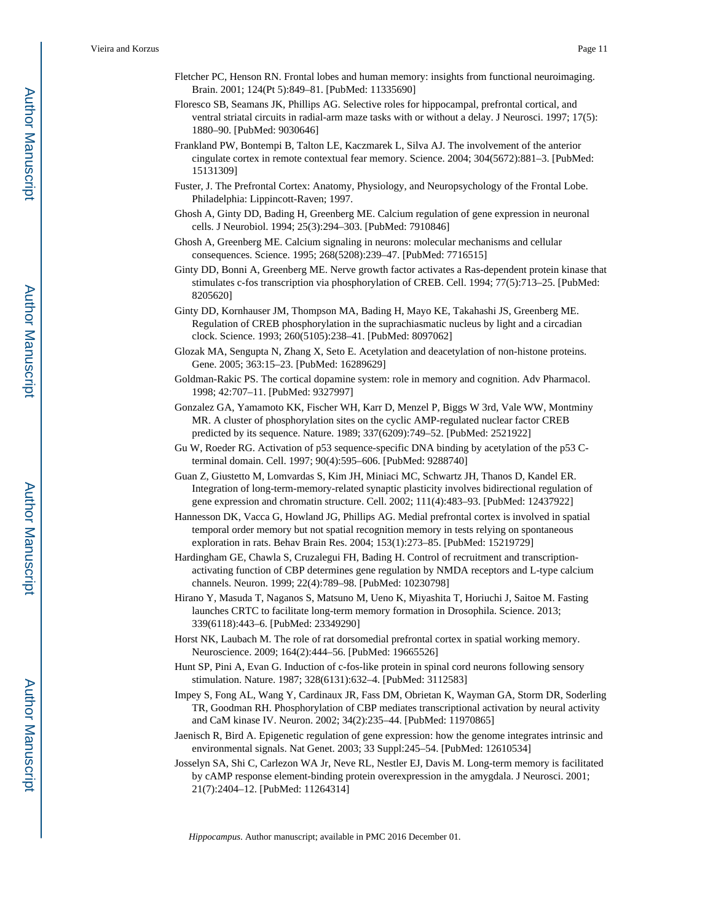- Fletcher PC, Henson RN. Frontal lobes and human memory: insights from functional neuroimaging. Brain. 2001; 124(Pt 5):849–81. [PubMed: 11335690]
- Floresco SB, Seamans JK, Phillips AG. Selective roles for hippocampal, prefrontal cortical, and ventral striatal circuits in radial-arm maze tasks with or without a delay. J Neurosci. 1997; 17(5): 1880–90. [PubMed: 9030646]
- Frankland PW, Bontempi B, Talton LE, Kaczmarek L, Silva AJ. The involvement of the anterior cingulate cortex in remote contextual fear memory. Science. 2004; 304(5672):881–3. [PubMed: 15131309]
- Fuster, J. The Prefrontal Cortex: Anatomy, Physiology, and Neuropsychology of the Frontal Lobe. Philadelphia: Lippincott-Raven; 1997.
- Ghosh A, Ginty DD, Bading H, Greenberg ME. Calcium regulation of gene expression in neuronal cells. J Neurobiol. 1994; 25(3):294–303. [PubMed: 7910846]
- Ghosh A, Greenberg ME. Calcium signaling in neurons: molecular mechanisms and cellular consequences. Science. 1995; 268(5208):239–47. [PubMed: 7716515]
- Ginty DD, Bonni A, Greenberg ME. Nerve growth factor activates a Ras-dependent protein kinase that stimulates c-fos transcription via phosphorylation of CREB. Cell. 1994; 77(5):713–25. [PubMed: 8205620]
- Ginty DD, Kornhauser JM, Thompson MA, Bading H, Mayo KE, Takahashi JS, Greenberg ME. Regulation of CREB phosphorylation in the suprachiasmatic nucleus by light and a circadian clock. Science. 1993; 260(5105):238–41. [PubMed: 8097062]
- Glozak MA, Sengupta N, Zhang X, Seto E. Acetylation and deacetylation of non-histone proteins. Gene. 2005; 363:15–23. [PubMed: 16289629]
- Goldman-Rakic PS. The cortical dopamine system: role in memory and cognition. Adv Pharmacol. 1998; 42:707–11. [PubMed: 9327997]
- Gonzalez GA, Yamamoto KK, Fischer WH, Karr D, Menzel P, Biggs W 3rd, Vale WW, Montminy MR. A cluster of phosphorylation sites on the cyclic AMP-regulated nuclear factor CREB predicted by its sequence. Nature. 1989; 337(6209):749–52. [PubMed: 2521922]
- Gu W, Roeder RG. Activation of p53 sequence-specific DNA binding by acetylation of the p53 Cterminal domain. Cell. 1997; 90(4):595–606. [PubMed: 9288740]
- Guan Z, Giustetto M, Lomvardas S, Kim JH, Miniaci MC, Schwartz JH, Thanos D, Kandel ER. Integration of long-term-memory-related synaptic plasticity involves bidirectional regulation of gene expression and chromatin structure. Cell. 2002; 111(4):483–93. [PubMed: 12437922]
- Hannesson DK, Vacca G, Howland JG, Phillips AG. Medial prefrontal cortex is involved in spatial temporal order memory but not spatial recognition memory in tests relying on spontaneous exploration in rats. Behav Brain Res. 2004; 153(1):273–85. [PubMed: 15219729]
- Hardingham GE, Chawla S, Cruzalegui FH, Bading H. Control of recruitment and transcriptionactivating function of CBP determines gene regulation by NMDA receptors and L-type calcium channels. Neuron. 1999; 22(4):789–98. [PubMed: 10230798]
- Hirano Y, Masuda T, Naganos S, Matsuno M, Ueno K, Miyashita T, Horiuchi J, Saitoe M. Fasting launches CRTC to facilitate long-term memory formation in Drosophila. Science. 2013; 339(6118):443–6. [PubMed: 23349290]
- Horst NK, Laubach M. The role of rat dorsomedial prefrontal cortex in spatial working memory. Neuroscience. 2009; 164(2):444–56. [PubMed: 19665526]
- Hunt SP, Pini A, Evan G. Induction of c-fos-like protein in spinal cord neurons following sensory stimulation. Nature. 1987; 328(6131):632–4. [PubMed: 3112583]
- Impey S, Fong AL, Wang Y, Cardinaux JR, Fass DM, Obrietan K, Wayman GA, Storm DR, Soderling TR, Goodman RH. Phosphorylation of CBP mediates transcriptional activation by neural activity and CaM kinase IV. Neuron. 2002; 34(2):235–44. [PubMed: 11970865]
- Jaenisch R, Bird A. Epigenetic regulation of gene expression: how the genome integrates intrinsic and environmental signals. Nat Genet. 2003; 33 Suppl:245–54. [PubMed: 12610534]
- Josselyn SA, Shi C, Carlezon WA Jr, Neve RL, Nestler EJ, Davis M. Long-term memory is facilitated by cAMP response element-binding protein overexpression in the amygdala. J Neurosci. 2001; 21(7):2404–12. [PubMed: 11264314]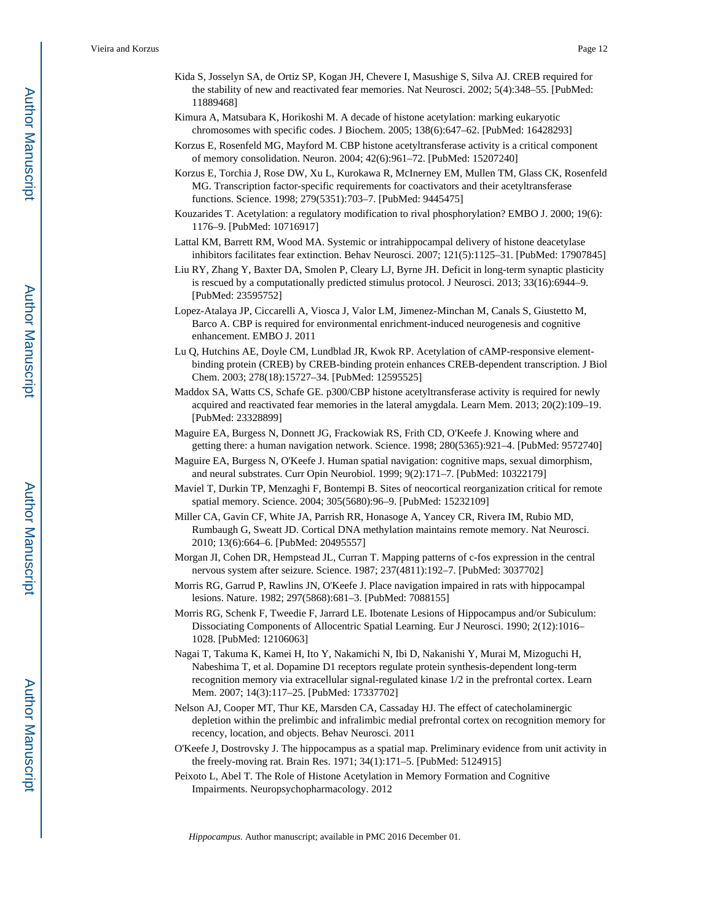- Kida S, Josselyn SA, de Ortiz SP, Kogan JH, Chevere I, Masushige S, Silva AJ. CREB required for the stability of new and reactivated fear memories. Nat Neurosci. 2002; 5(4):348–55. [PubMed: 11889468]
- Kimura A, Matsubara K, Horikoshi M. A decade of histone acetylation: marking eukaryotic chromosomes with specific codes. J Biochem. 2005; 138(6):647–62. [PubMed: 16428293]
- Korzus E, Rosenfeld MG, Mayford M. CBP histone acetyltransferase activity is a critical component of memory consolidation. Neuron. 2004; 42(6):961–72. [PubMed: 15207240]
- Korzus E, Torchia J, Rose DW, Xu L, Kurokawa R, McInerney EM, Mullen TM, Glass CK, Rosenfeld MG. Transcription factor-specific requirements for coactivators and their acetyltransferase functions. Science. 1998; 279(5351):703–7. [PubMed: 9445475]
- Kouzarides T. Acetylation: a regulatory modification to rival phosphorylation? EMBO J. 2000; 19(6): 1176–9. [PubMed: 10716917]
- Lattal KM, Barrett RM, Wood MA. Systemic or intrahippocampal delivery of histone deacetylase inhibitors facilitates fear extinction. Behav Neurosci. 2007; 121(5):1125–31. [PubMed: 17907845]
- Liu RY, Zhang Y, Baxter DA, Smolen P, Cleary LJ, Byrne JH. Deficit in long-term synaptic plasticity is rescued by a computationally predicted stimulus protocol. J Neurosci. 2013; 33(16):6944–9. [PubMed: 23595752]
- Lopez-Atalaya JP, Ciccarelli A, Viosca J, Valor LM, Jimenez-Minchan M, Canals S, Giustetto M, Barco A. CBP is required for environmental enrichment-induced neurogenesis and cognitive enhancement. EMBO J. 2011
- Lu Q, Hutchins AE, Doyle CM, Lundblad JR, Kwok RP. Acetylation of cAMP-responsive elementbinding protein (CREB) by CREB-binding protein enhances CREB-dependent transcription. J Biol Chem. 2003; 278(18):15727–34. [PubMed: 12595525]
- Maddox SA, Watts CS, Schafe GE. p300/CBP histone acetyltransferase activity is required for newly acquired and reactivated fear memories in the lateral amygdala. Learn Mem. 2013; 20(2):109–19. [PubMed: 23328899]
- Maguire EA, Burgess N, Donnett JG, Frackowiak RS, Frith CD, O'Keefe J. Knowing where and getting there: a human navigation network. Science. 1998; 280(5365):921–4. [PubMed: 9572740]
- Maguire EA, Burgess N, O'Keefe J. Human spatial navigation: cognitive maps, sexual dimorphism, and neural substrates. Curr Opin Neurobiol. 1999; 9(2):171–7. [PubMed: 10322179]
- Maviel T, Durkin TP, Menzaghi F, Bontempi B. Sites of neocortical reorganization critical for remote spatial memory. Science. 2004; 305(5680):96–9. [PubMed: 15232109]
- Miller CA, Gavin CF, White JA, Parrish RR, Honasoge A, Yancey CR, Rivera IM, Rubio MD, Rumbaugh G, Sweatt JD. Cortical DNA methylation maintains remote memory. Nat Neurosci. 2010; 13(6):664–6. [PubMed: 20495557]
- Morgan JI, Cohen DR, Hempstead JL, Curran T. Mapping patterns of c-fos expression in the central nervous system after seizure. Science. 1987; 237(4811):192–7. [PubMed: 3037702]
- Morris RG, Garrud P, Rawlins JN, O'Keefe J. Place navigation impaired in rats with hippocampal lesions. Nature. 1982; 297(5868):681–3. [PubMed: 7088155]
- Morris RG, Schenk F, Tweedie F, Jarrard LE. Ibotenate Lesions of Hippocampus and/or Subiculum: Dissociating Components of Allocentric Spatial Learning. Eur J Neurosci. 1990; 2(12):1016– 1028. [PubMed: 12106063]
- Nagai T, Takuma K, Kamei H, Ito Y, Nakamichi N, Ibi D, Nakanishi Y, Murai M, Mizoguchi H, Nabeshima T, et al. Dopamine D1 receptors regulate protein synthesis-dependent long-term recognition memory via extracellular signal-regulated kinase 1/2 in the prefrontal cortex. Learn Mem. 2007; 14(3):117–25. [PubMed: 17337702]
- Nelson AJ, Cooper MT, Thur KE, Marsden CA, Cassaday HJ. The effect of catecholaminergic depletion within the prelimbic and infralimbic medial prefrontal cortex on recognition memory for recency, location, and objects. Behav Neurosci. 2011
- O'Keefe J, Dostrovsky J. The hippocampus as a spatial map. Preliminary evidence from unit activity in the freely-moving rat. Brain Res. 1971; 34(1):171–5. [PubMed: 5124915]
- Peixoto L, Abel T. The Role of Histone Acetylation in Memory Formation and Cognitive Impairments. Neuropsychopharmacology. 2012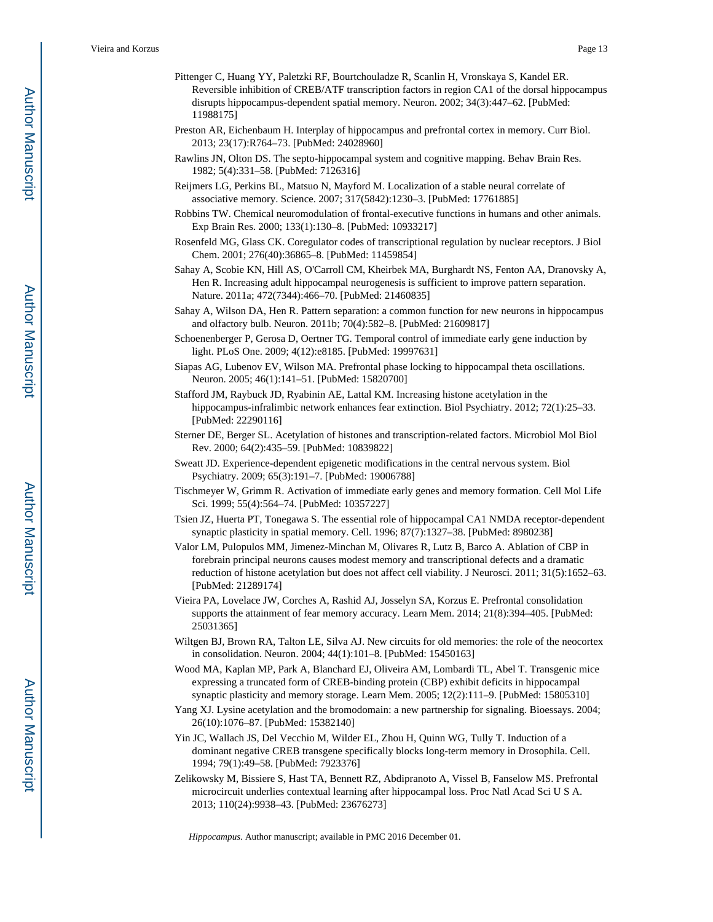- Pittenger C, Huang YY, Paletzki RF, Bourtchouladze R, Scanlin H, Vronskaya S, Kandel ER. Reversible inhibition of CREB/ATF transcription factors in region CA1 of the dorsal hippocampus disrupts hippocampus-dependent spatial memory. Neuron. 2002; 34(3):447–62. [PubMed: 11988175]
- Preston AR, Eichenbaum H. Interplay of hippocampus and prefrontal cortex in memory. Curr Biol. 2013; 23(17):R764–73. [PubMed: 24028960]
- Rawlins JN, Olton DS. The septo-hippocampal system and cognitive mapping. Behav Brain Res. 1982; 5(4):331–58. [PubMed: 7126316]
- Reijmers LG, Perkins BL, Matsuo N, Mayford M. Localization of a stable neural correlate of associative memory. Science. 2007; 317(5842):1230–3. [PubMed: 17761885]
- Robbins TW. Chemical neuromodulation of frontal-executive functions in humans and other animals. Exp Brain Res. 2000; 133(1):130–8. [PubMed: 10933217]
- Rosenfeld MG, Glass CK. Coregulator codes of transcriptional regulation by nuclear receptors. J Biol Chem. 2001; 276(40):36865–8. [PubMed: 11459854]
- Sahay A, Scobie KN, Hill AS, O'Carroll CM, Kheirbek MA, Burghardt NS, Fenton AA, Dranovsky A, Hen R. Increasing adult hippocampal neurogenesis is sufficient to improve pattern separation. Nature. 2011a; 472(7344):466–70. [PubMed: 21460835]
- Sahay A, Wilson DA, Hen R. Pattern separation: a common function for new neurons in hippocampus and olfactory bulb. Neuron. 2011b; 70(4):582–8. [PubMed: 21609817]
- Schoenenberger P, Gerosa D, Oertner TG. Temporal control of immediate early gene induction by light. PLoS One. 2009; 4(12):e8185. [PubMed: 19997631]
- Siapas AG, Lubenov EV, Wilson MA. Prefrontal phase locking to hippocampal theta oscillations. Neuron. 2005; 46(1):141–51. [PubMed: 15820700]
- Stafford JM, Raybuck JD, Ryabinin AE, Lattal KM. Increasing histone acetylation in the hippocampus-infralimbic network enhances fear extinction. Biol Psychiatry. 2012; 72(1):25–33. [PubMed: 22290116]
- Sterner DE, Berger SL. Acetylation of histones and transcription-related factors. Microbiol Mol Biol Rev. 2000; 64(2):435–59. [PubMed: 10839822]
- Sweatt JD. Experience-dependent epigenetic modifications in the central nervous system. Biol Psychiatry. 2009; 65(3):191–7. [PubMed: 19006788]
- Tischmeyer W, Grimm R. Activation of immediate early genes and memory formation. Cell Mol Life Sci. 1999; 55(4):564–74. [PubMed: 10357227]
- Tsien JZ, Huerta PT, Tonegawa S. The essential role of hippocampal CA1 NMDA receptor-dependent synaptic plasticity in spatial memory. Cell. 1996; 87(7):1327–38. [PubMed: 8980238]
- Valor LM, Pulopulos MM, Jimenez-Minchan M, Olivares R, Lutz B, Barco A. Ablation of CBP in forebrain principal neurons causes modest memory and transcriptional defects and a dramatic reduction of histone acetylation but does not affect cell viability. J Neurosci. 2011; 31(5):1652–63. [PubMed: 21289174]
- Vieira PA, Lovelace JW, Corches A, Rashid AJ, Josselyn SA, Korzus E. Prefrontal consolidation supports the attainment of fear memory accuracy. Learn Mem. 2014; 21(8):394–405. [PubMed: 25031365]
- Wiltgen BJ, Brown RA, Talton LE, Silva AJ. New circuits for old memories: the role of the neocortex in consolidation. Neuron. 2004; 44(1):101–8. [PubMed: 15450163]
- Wood MA, Kaplan MP, Park A, Blanchard EJ, Oliveira AM, Lombardi TL, Abel T. Transgenic mice expressing a truncated form of CREB-binding protein (CBP) exhibit deficits in hippocampal synaptic plasticity and memory storage. Learn Mem. 2005; 12(2):111–9. [PubMed: 15805310]
- Yang XJ. Lysine acetylation and the bromodomain: a new partnership for signaling. Bioessays. 2004; 26(10):1076–87. [PubMed: 15382140]
- Yin JC, Wallach JS, Del Vecchio M, Wilder EL, Zhou H, Quinn WG, Tully T. Induction of a dominant negative CREB transgene specifically blocks long-term memory in Drosophila. Cell. 1994; 79(1):49–58. [PubMed: 7923376]
- Zelikowsky M, Bissiere S, Hast TA, Bennett RZ, Abdipranoto A, Vissel B, Fanselow MS. Prefrontal microcircuit underlies contextual learning after hippocampal loss. Proc Natl Acad Sci U S A. 2013; 110(24):9938–43. [PubMed: 23676273]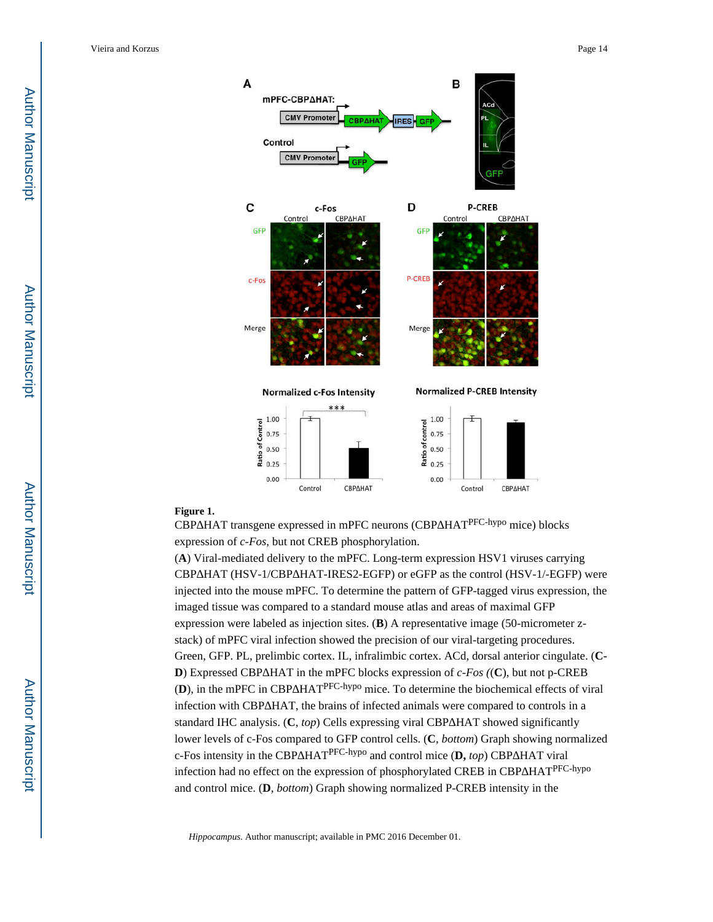

#### **Figure 1.**

CBP HAT transgene expressed in mPFC neurons (CBP HAT<sup>PFC-hypo</sup> mice) blocks expression of *c-Fos*, but not CREB phosphorylation.

(**A**) Viral-mediated delivery to the mPFC. Long-term expression HSV1 viruses carrying CBP HAT (HSV-1/CBP HAT-IRES2-EGFP) or eGFP as the control (HSV-1/-EGFP) were injected into the mouse mPFC. To determine the pattern of GFP-tagged virus expression, the imaged tissue was compared to a standard mouse atlas and areas of maximal GFP expression were labeled as injection sites. (**B**) A representative image (50-micrometer zstack) of mPFC viral infection showed the precision of our viral-targeting procedures. Green, GFP. PL, prelimbic cortex. IL, infralimbic cortex. ACd, dorsal anterior cingulate. (**C-D**) Expressed CBP HAT in the mPFC blocks expression of *c-Fos ((C)*, but not p-CREB (D), in the mPFC in CBP HAT<sup>PFC-hypo</sup> mice. To determine the biochemical effects of viral infection with CBP HAT, the brains of infected animals were compared to controls in a standard IHC analysis. (C, *top*) Cells expressing viral CBP HAT showed significantly lower levels of c-Fos compared to GFP control cells. (**C**, *bottom*) Graph showing normalized c-Fos intensity in the CBP HAT<sup>PFC-hypo</sup> and control mice (**D**, *top*) CBP HAT viral infection had no effect on the expression of phosphorylated CREB in CBP HAT<sup>PFC-hypo</sup> and control mice. (**D**, *bottom*) Graph showing normalized P-CREB intensity in the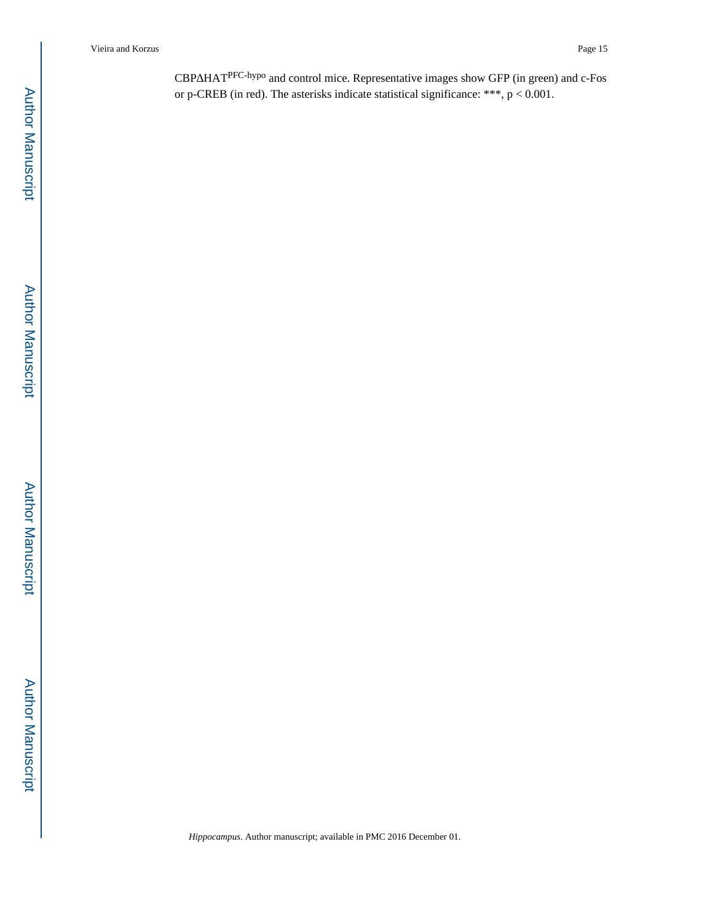CBP HAT<sup>PFC-hypo</sup> and control mice. Representative images show GFP (in green) and c-Fos or p-CREB (in red). The asterisks indicate statistical significance: \*\*\*,  $p < 0.001$ .